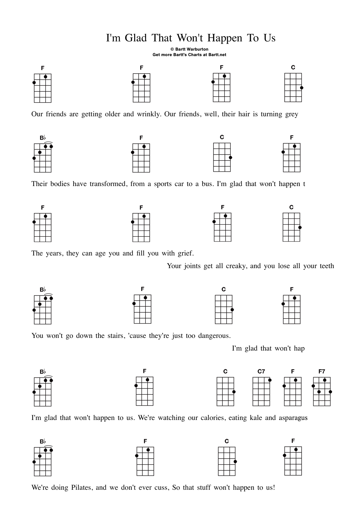## I'm Glad That Won't Happen To Us

© Bartt Warburton Get more Bartt's Charts at Bartt.net



Our friends are getting older and wrinkly. Our friends, well, their hair is turning grey



Their bodies have transformed, from a sports car to a bus. I'm glad that won't happen t



The years, they can age you and fill you with grief.

Your joints get all creaky, and you lose all your teeth









You won't go down the stairs, 'cause they're just too dangerous.

I'm glad that won't hap





I'm glad that won't happen to us. We're watching our calories, eating kale and asparagus



We're doing Pilates, and we don't ever cuss, So that stuff won't happen to us!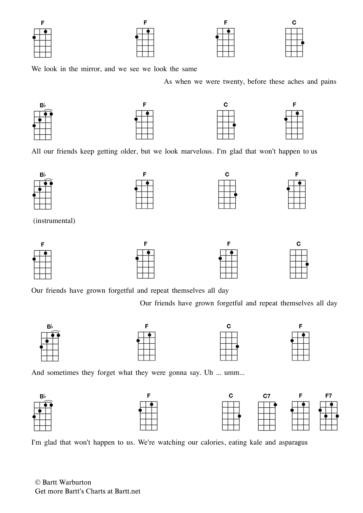We look in the mirror, and we see we look the same

As when we were twenty, before these aches and pains



All our friends keep getting older, but we look marvelous. I'm glad that won't happen to us



Our friends have grown forgetful and repeat themselves all day

Our friends have grown forgetful and repeat themselves all day



And sometimes they forget what they were gonna say. Uh ... umm...



I'm glad that won't happen to us. We're watching our calories, eating kale and asparagus

© Bartt Warburton Get more Bartt's Charts at Bartt.net